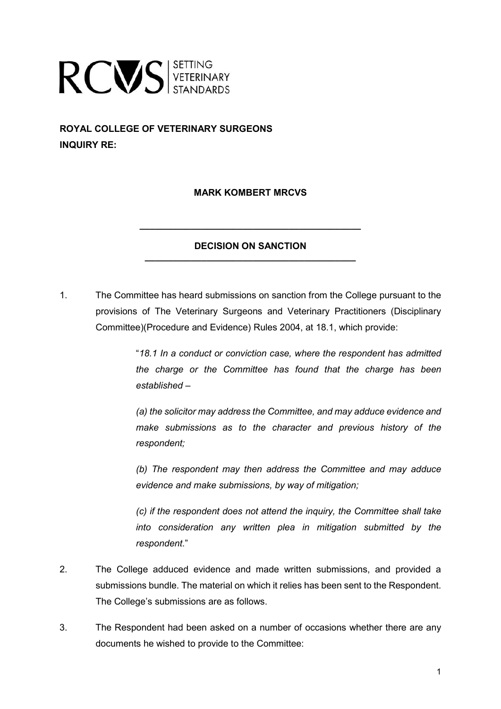

**ROYAL COLLEGE OF VETERINARY SURGEONS INQUIRY RE:**

# **MARK KOMBERT MRCVS**

# **DECISION ON SANCTION \_\_\_\_\_\_\_\_\_\_\_\_\_\_\_\_\_\_\_\_\_\_\_\_\_\_\_\_\_\_\_\_\_\_\_\_\_\_\_\_\_**

**\_\_\_\_\_\_\_\_\_\_\_\_\_\_\_\_\_\_\_\_\_\_\_\_\_\_\_\_\_\_\_\_\_\_\_\_\_\_\_\_\_\_\_**

1. The Committee has heard submissions on sanction from the College pursuant to the provisions of The Veterinary Surgeons and Veterinary Practitioners (Disciplinary Committee)(Procedure and Evidence) Rules 2004, at 18.1, which provide:

> "*18.1 In a conduct or conviction case, where the respondent has admitted the charge or the Committee has found that the charge has been established –*

> *(a) the solicitor may address the Committee, and may adduce evidence and make submissions as to the character and previous history of the respondent;*

> *(b) The respondent may then address the Committee and may adduce evidence and make submissions, by way of mitigation;*

> *(c) if the respondent does not attend the inquiry, the Committee shall take into consideration any written plea in mitigation submitted by the respondent*."

- 2. The College adduced evidence and made written submissions, and provided a submissions bundle. The material on which it relies has been sent to the Respondent. The College's submissions are as follows.
- 3. The Respondent had been asked on a number of occasions whether there are any documents he wished to provide to the Committee: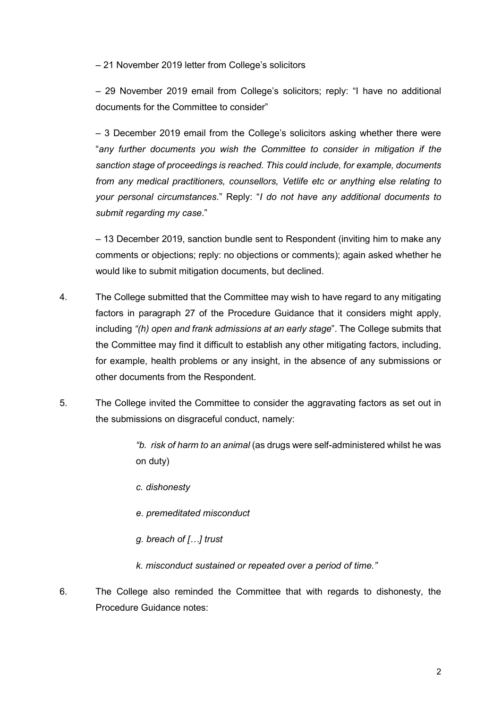– 21 November 2019 letter from College's solicitors

– 29 November 2019 email from College's solicitors; reply: "I have no additional documents for the Committee to consider"

– 3 December 2019 email from the College's solicitors asking whether there were "*any further documents you wish the Committee to consider in mitigation if the sanction stage of proceedings is reached. This could include, for example, documents from any medical practitioners, counsellors, Vetlife etc or anything else relating to your personal circumstances*." Reply: "*I do not have any additional documents to submit regarding my case*."

– 13 December 2019, sanction bundle sent to Respondent (inviting him to make any comments or objections; reply: no objections or comments); again asked whether he would like to submit mitigation documents, but declined.

- 4. The College submitted that the Committee may wish to have regard to any mitigating factors in paragraph 27 of the Procedure Guidance that it considers might apply, including *"(h) open and frank admissions at an early stage*". The College submits that the Committee may find it difficult to establish any other mitigating factors, including, for example, health problems or any insight, in the absence of any submissions or other documents from the Respondent.
- 5. The College invited the Committee to consider the aggravating factors as set out in the submissions on disgraceful conduct, namely:

*"b. risk of harm to an animal* (as drugs were self-administered whilst he was on duty)

- *c. dishonesty*
- *e. premeditated misconduct*
- *g. breach of […] trust*

*k. misconduct sustained or repeated over a period of time."*

6. The College also reminded the Committee that with regards to dishonesty, the Procedure Guidance notes: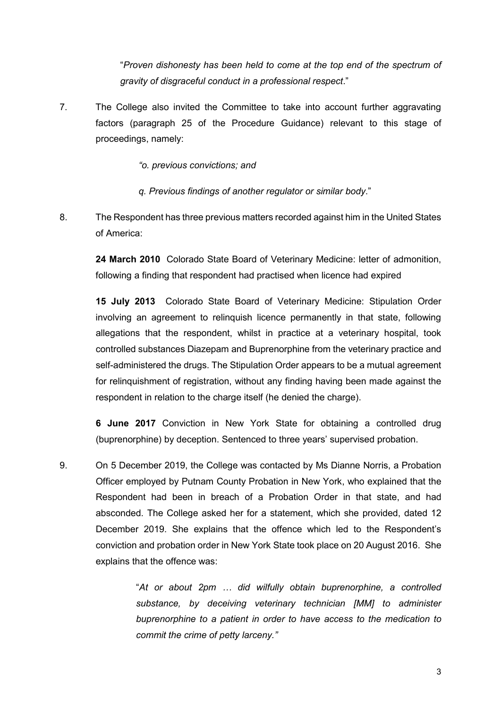"*Proven dishonesty has been held to come at the top end of the spectrum of gravity of disgraceful conduct in a professional respect*."

7. The College also invited the Committee to take into account further aggravating factors (paragraph 25 of the Procedure Guidance) relevant to this stage of proceedings, namely:

*"o. previous convictions; and*

*q. Previous findings of another regulator or similar body*."

8. The Respondent has three previous matters recorded against him in the United States of America:

**24 March 2010** Colorado State Board of Veterinary Medicine: letter of admonition, following a finding that respondent had practised when licence had expired

**15 July 2013** Colorado State Board of Veterinary Medicine: Stipulation Order involving an agreement to relinquish licence permanently in that state, following allegations that the respondent, whilst in practice at a veterinary hospital, took controlled substances Diazepam and Buprenorphine from the veterinary practice and self-administered the drugs. The Stipulation Order appears to be a mutual agreement for relinquishment of registration, without any finding having been made against the respondent in relation to the charge itself (he denied the charge).

**6 June 2017** Conviction in New York State for obtaining a controlled drug (buprenorphine) by deception. Sentenced to three years' supervised probation.

9. On 5 December 2019, the College was contacted by Ms Dianne Norris, a Probation Officer employed by Putnam County Probation in New York, who explained that the Respondent had been in breach of a Probation Order in that state, and had absconded. The College asked her for a statement, which she provided, dated 12 December 2019. She explains that the offence which led to the Respondent's conviction and probation order in New York State took place on 20 August 2016. She explains that the offence was:

> "*At or about 2pm … did wilfully obtain buprenorphine, a controlled substance, by deceiving veterinary technician [MM] to administer buprenorphine to a patient in order to have access to the medication to commit the crime of petty larceny."*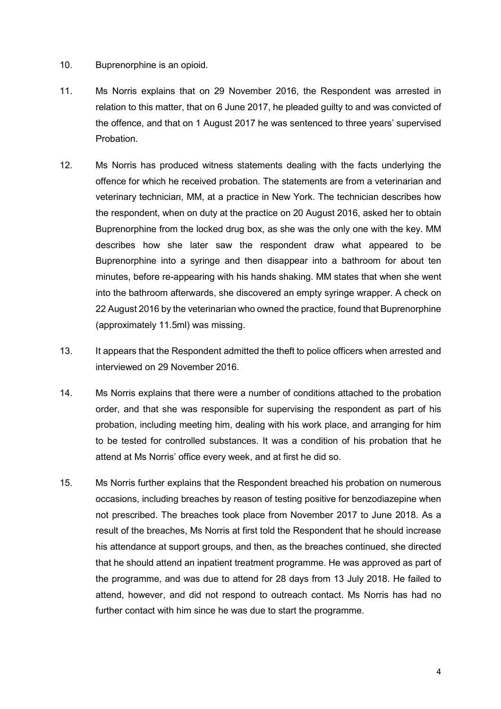#### 10. Buprenorphine is an opioid.

- 11. Ms Norris explains that on 29 November 2016, the Respondent was arrested in relation to this matter, that on 6 June 2017, he pleaded guilty to and was convicted of the offence, and that on 1 August 2017 he was sentenced to three years' supervised Probation.
- 12. Ms Norris has produced witness statements dealing with the facts underlying the offence for which he received probation. The statements are from a veterinarian and veterinary technician, MM, at a practice in New York. The technician describes how the respondent, when on duty at the practice on 20 August 2016, asked her to obtain Buprenorphine from the locked drug box, as she was the only one with the key. MM describes how she later saw the respondent draw what appeared to be Buprenorphine into a syringe and then disappear into a bathroom for about ten minutes, before re-appearing with his hands shaking. MM states that when she went into the bathroom afterwards, she discovered an empty syringe wrapper. A check on 22 August 2016 by the veterinarian who owned the practice, found that Buprenorphine (approximately 11.5ml) was missing.
- 13. It appears that the Respondent admitted the theft to police officers when arrested and interviewed on 29 November 2016.
- 14. Ms Norris explains that there were a number of conditions attached to the probation order, and that she was responsible for supervising the respondent as part of his probation, including meeting him, dealing with his work place, and arranging for him to be tested for controlled substances. It was a condition of his probation that he attend at Ms Norris' office every week, and at first he did so.
- 15. Ms Norris further explains that the Respondent breached his probation on numerous occasions, including breaches by reason of testing positive for benzodiazepine when not prescribed. The breaches took place from November 2017 to June 2018. As a result of the breaches, Ms Norris at first told the Respondent that he should increase his attendance at support groups, and then, as the breaches continued, she directed that he should attend an inpatient treatment programme. He was approved as part of the programme, and was due to attend for 28 days from 13 July 2018. He failed to attend, however, and did not respond to outreach contact. Ms Norris has had no further contact with him since he was due to start the programme.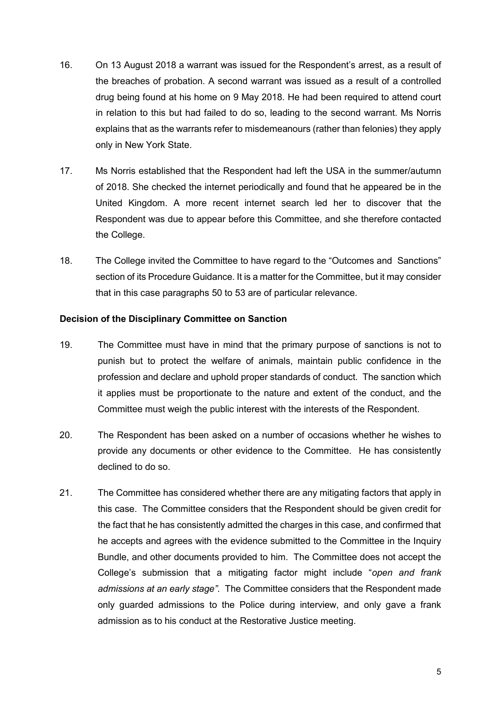- 16. On 13 August 2018 a warrant was issued for the Respondent's arrest, as a result of the breaches of probation. A second warrant was issued as a result of a controlled drug being found at his home on 9 May 2018. He had been required to attend court in relation to this but had failed to do so, leading to the second warrant. Ms Norris explains that as the warrants refer to misdemeanours (rather than felonies) they apply only in New York State.
- 17. Ms Norris established that the Respondent had left the USA in the summer/autumn of 2018. She checked the internet periodically and found that he appeared be in the United Kingdom. A more recent internet search led her to discover that the Respondent was due to appear before this Committee, and she therefore contacted the College.
- 18. The College invited the Committee to have regard to the "Outcomes and Sanctions" section of its Procedure Guidance. It is a matter for the Committee, but it may consider that in this case paragraphs 50 to 53 are of particular relevance.

# **Decision of the Disciplinary Committee on Sanction**

- 19. The Committee must have in mind that the primary purpose of sanctions is not to punish but to protect the welfare of animals, maintain public confidence in the profession and declare and uphold proper standards of conduct. The sanction which it applies must be proportionate to the nature and extent of the conduct, and the Committee must weigh the public interest with the interests of the Respondent.
- 20. The Respondent has been asked on a number of occasions whether he wishes to provide any documents or other evidence to the Committee. He has consistently declined to do so.
- 21. The Committee has considered whether there are any mitigating factors that apply in this case. The Committee considers that the Respondent should be given credit for the fact that he has consistently admitted the charges in this case, and confirmed that he accepts and agrees with the evidence submitted to the Committee in the Inquiry Bundle, and other documents provided to him. The Committee does not accept the College's submission that a mitigating factor might include "*open and frank admissions at an early stage"*. The Committee considers that the Respondent made only guarded admissions to the Police during interview, and only gave a frank admission as to his conduct at the Restorative Justice meeting.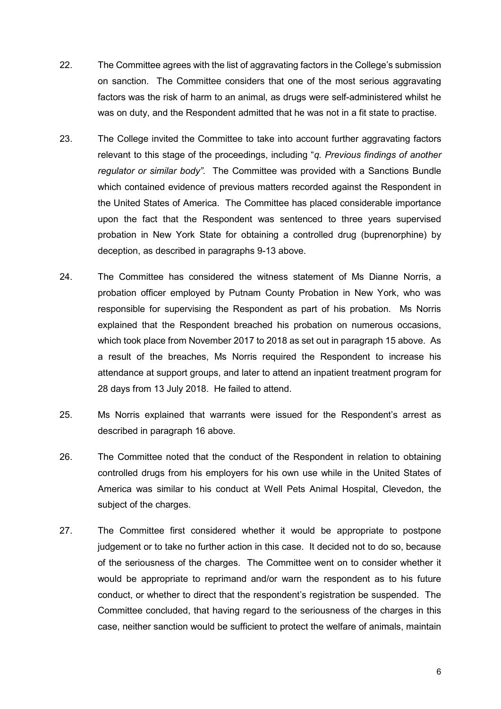- 22. The Committee agrees with the list of aggravating factors in the College's submission on sanction. The Committee considers that one of the most serious aggravating factors was the risk of harm to an animal, as drugs were self-administered whilst he was on duty, and the Respondent admitted that he was not in a fit state to practise.
- 23. The College invited the Committee to take into account further aggravating factors relevant to this stage of the proceedings, including "*q. Previous findings of another regulator or similar body"*. The Committee was provided with a Sanctions Bundle which contained evidence of previous matters recorded against the Respondent in the United States of America. The Committee has placed considerable importance upon the fact that the Respondent was sentenced to three years supervised probation in New York State for obtaining a controlled drug (buprenorphine) by deception, as described in paragraphs 9-13 above.
- 24. The Committee has considered the witness statement of Ms Dianne Norris, a probation officer employed by Putnam County Probation in New York, who was responsible for supervising the Respondent as part of his probation. Ms Norris explained that the Respondent breached his probation on numerous occasions, which took place from November 2017 to 2018 as set out in paragraph 15 above. As a result of the breaches, Ms Norris required the Respondent to increase his attendance at support groups, and later to attend an inpatient treatment program for 28 days from 13 July 2018. He failed to attend.
- 25. Ms Norris explained that warrants were issued for the Respondent's arrest as described in paragraph 16 above.
- 26. The Committee noted that the conduct of the Respondent in relation to obtaining controlled drugs from his employers for his own use while in the United States of America was similar to his conduct at Well Pets Animal Hospital, Clevedon, the subject of the charges.
- 27. The Committee first considered whether it would be appropriate to postpone judgement or to take no further action in this case. It decided not to do so, because of the seriousness of the charges. The Committee went on to consider whether it would be appropriate to reprimand and/or warn the respondent as to his future conduct, or whether to direct that the respondent's registration be suspended. The Committee concluded, that having regard to the seriousness of the charges in this case, neither sanction would be sufficient to protect the welfare of animals, maintain